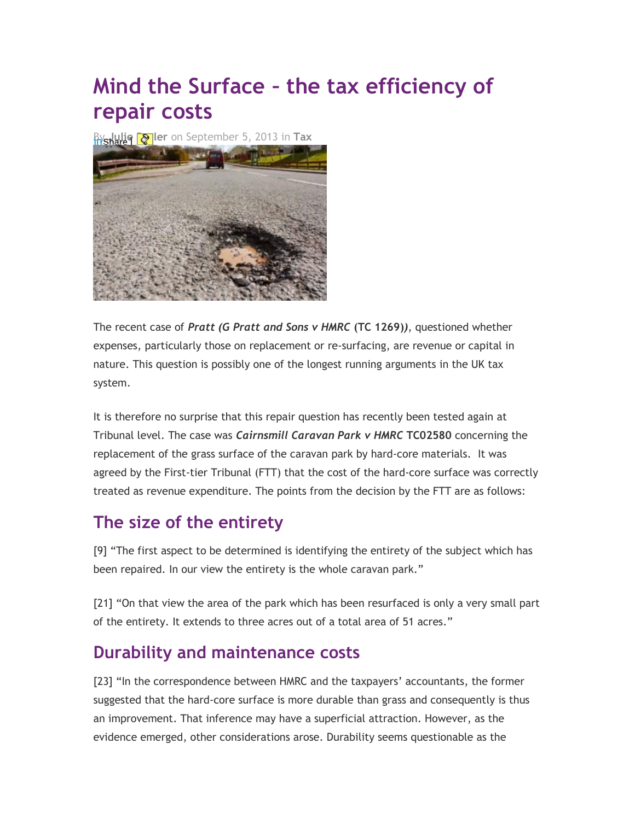# **Mind the Surface – the tax efficiency of repair costs**

**By [Julie Butler](http://www.lawskills.co.uk/articles/author/julie-butler/)** on September 5, 2013 in [Tax](http://www.lawskills.co.uk/articles/category/tax/)



The recent case of *Pratt (G Pratt and Sons v HMRC* **(TC 1269)***)*, questioned whether expenses, particularly those on replacement or re-surfacing, are revenue or capital in nature. This question is possibly one of the longest running arguments in the UK tax system.

It is therefore no surprise that this repair question has recently been tested again at Tribunal level. The case was *Cairnsmill Caravan Park v HMRC* **TC02580** concerning the replacement of the grass surface of the caravan park by hard-core materials. It was agreed by the First-tier Tribunal (FTT) that the cost of the hard-core surface was correctly treated as revenue expenditure. The points from the decision by the FTT are as follows:

#### **The size of the entirety**

[9] "The first aspect to be determined is identifying the entirety of the subject which has been repaired. In our view the entirety is the whole caravan park."

[21] "On that view the area of the park which has been resurfaced is only a very small part of the entirety. It extends to three acres out of a total area of 51 acres."

### **Durability and maintenance costs**

[23] "In the correspondence between HMRC and the taxpayers' accountants, the former suggested that the hard-core surface is more durable than grass and consequently is thus an improvement. That inference may have a superficial attraction. However, as the evidence emerged, other considerations arose. Durability seems questionable as the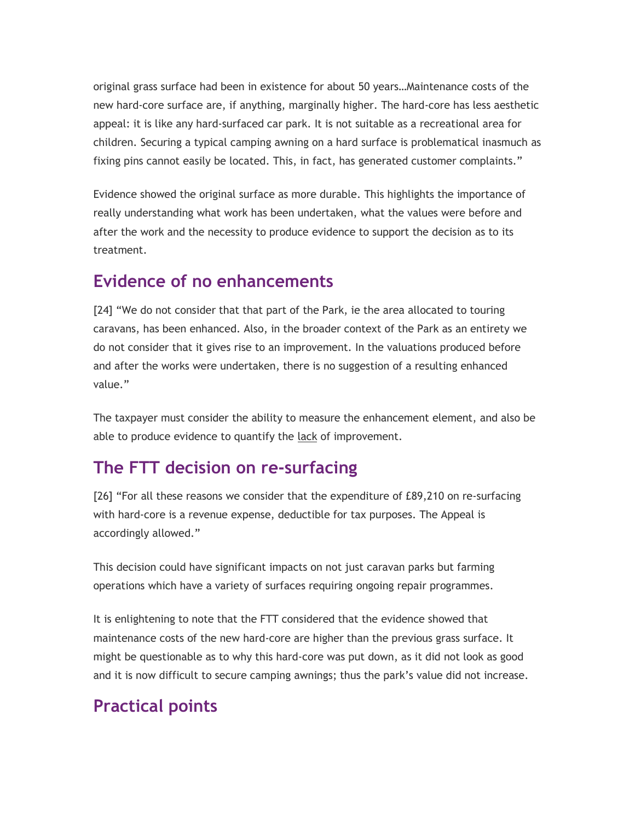original grass surface had been in existence for about 50 years…Maintenance costs of the new hard-core surface are, if anything, marginally higher. The hard-core has less aesthetic appeal: it is like any hard-surfaced car park. It is not suitable as a recreational area for children. Securing a typical camping awning on a hard surface is problematical inasmuch as fixing pins cannot easily be located. This, in fact, has generated customer complaints."

Evidence showed the original surface as more durable. This highlights the importance of really understanding what work has been undertaken, what the values were before and after the work and the necessity to produce evidence to support the decision as to its treatment.

#### **Evidence of no enhancements**

[24] "We do not consider that that part of the Park, ie the area allocated to touring caravans, has been enhanced. Also, in the broader context of the Park as an entirety we do not consider that it gives rise to an improvement. In the valuations produced before and after the works were undertaken, there is no suggestion of a resulting enhanced value."

The taxpayer must consider the ability to measure the enhancement element, and also be able to produce evidence to quantify the lack of improvement.

### **The FTT decision on re-surfacing**

[26] "For all these reasons we consider that the expenditure of £89,210 on re-surfacing with hard-core is a revenue expense, deductible for tax purposes. The Appeal is accordingly allowed."

This decision could have significant impacts on not just caravan parks but farming operations which have a variety of surfaces requiring ongoing repair programmes.

It is enlightening to note that the FTT considered that the evidence showed that maintenance costs of the new hard-core are higher than the previous grass surface. It might be questionable as to why this hard-core was put down, as it did not look as good and it is now difficult to secure camping awnings; thus the park's value did not increase.

## **Practical points**